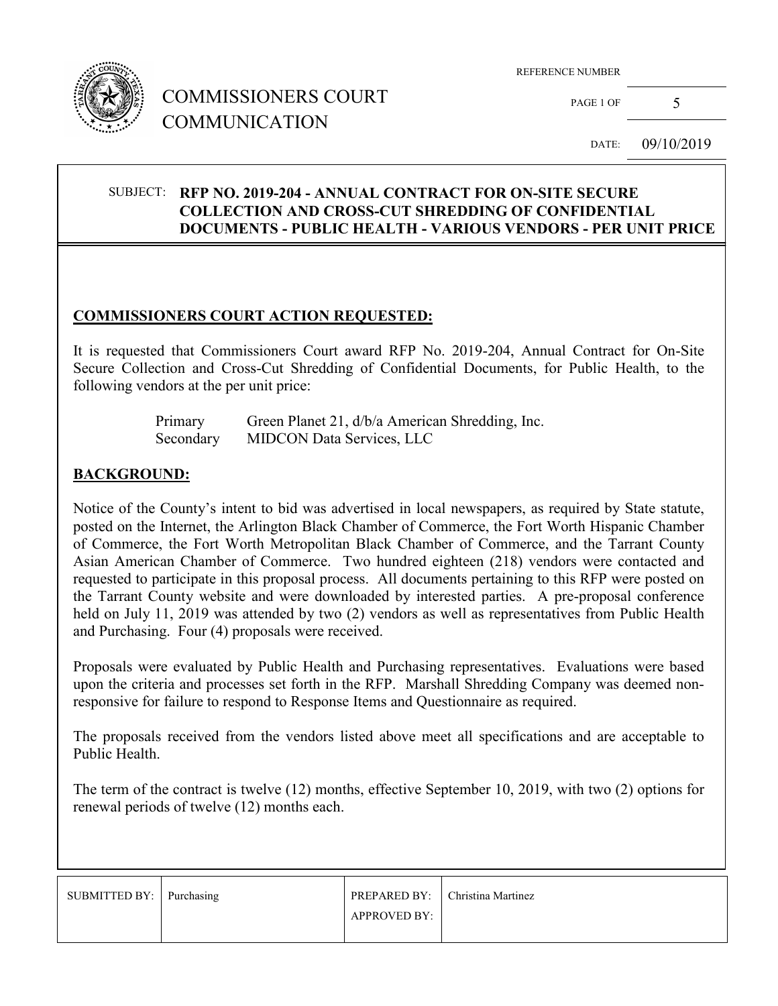

## COMMISSIONERS COURT COMMUNICATION

REFERENCE NUMBER

PAGE 1 OF  $5$ 

DATE: 09/10/2019

#### SUBJECT: **RFP NO. 2019-204 - ANNUAL CONTRACT FOR ON-SITE SECURE COLLECTION AND CROSS-CUT SHREDDING OF CONFIDENTIAL DOCUMENTS - PUBLIC HEALTH - VARIOUS VENDORS - PER UNIT PRICE**

### **COMMISSIONERS COURT ACTION REQUESTED:**

It is requested that Commissioners Court award RFP No. 2019-204, Annual Contract for On-Site Secure Collection and Cross-Cut Shredding of Confidential Documents, for Public Health, to the following vendors at the per unit price:

| Primary   | Green Planet 21, d/b/a American Shredding, Inc. |
|-----------|-------------------------------------------------|
| Secondary | <b>MIDCON Data Services, LLC</b>                |

### **BACKGROUND:**

Notice of the County's intent to bid was advertised in local newspapers, as required by State statute, posted on the Internet, the Arlington Black Chamber of Commerce, the Fort Worth Hispanic Chamber of Commerce, the Fort Worth Metropolitan Black Chamber of Commerce, and the Tarrant County Asian American Chamber of Commerce. Two hundred eighteen (218) vendors were contacted and requested to participate in this proposal process. All documents pertaining to this RFP were posted on the Tarrant County website and were downloaded by interested parties. A pre-proposal conference held on July 11, 2019 was attended by two (2) vendors as well as representatives from Public Health and Purchasing. Four (4) proposals were received.

Proposals were evaluated by Public Health and Purchasing representatives. Evaluations were based upon the criteria and processes set forth in the RFP. Marshall Shredding Company was deemed nonresponsive for failure to respond to Response Items and Questionnaire as required.

The proposals received from the vendors listed above meet all specifications and are acceptable to Public Health.

The term of the contract is twelve (12) months, effective September 10, 2019, with two (2) options for renewal periods of twelve (12) months each.

| SUBMITTED BY:   Purchasing |                     | PREPARED BY:   Christina Martinez |
|----------------------------|---------------------|-----------------------------------|
|                            | <b>APPROVED BY:</b> |                                   |